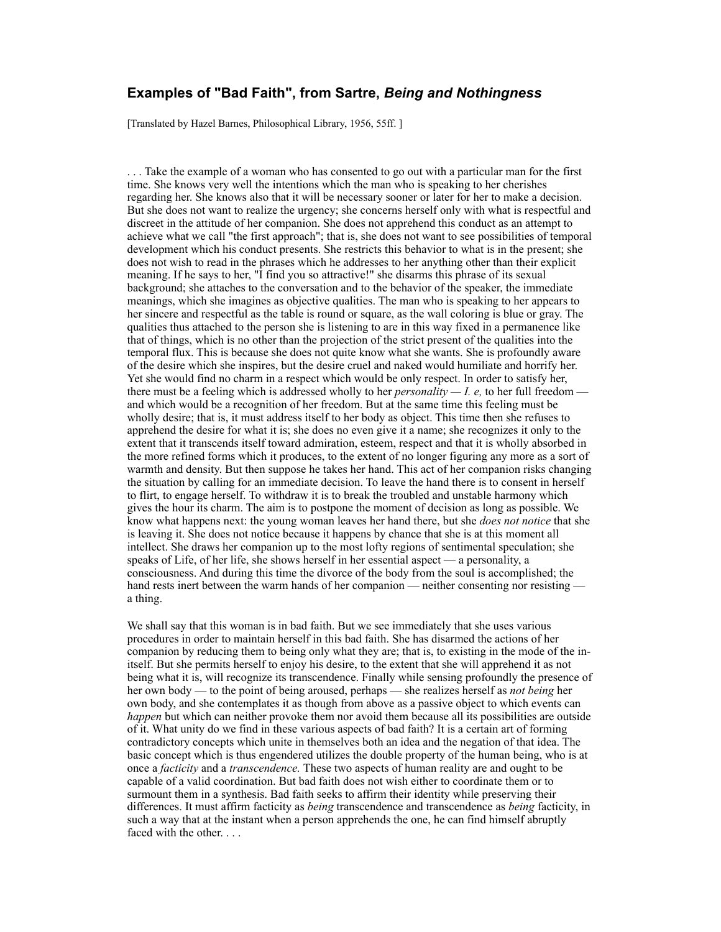## **Examples of "Bad Faith", from Sartre,** *Being and Nothingness*

[Translated by Hazel Barnes, Philosophical Library, 1956, 55ff.]

. . . Take the example of a woman who has consented to go out with a particular man for the first time. She knows very well the intentions which the man who is speaking to her cherishes regarding her. She knows also that it will be necessary sooner or later for her to make a decision. But she does not want to realize the urgency; she concerns herself only with what is respectful and discreet in the attitude of her companion. She does not apprehend this conduct as an attempt to achieve what we call "the first approach"; that is, she does not want to see possibilities of temporal development which his conduct presents. She restricts this behavior to what is in the present; she does not wish to read in the phrases which he addresses to her anything other than their explicit meaning. If he says to her, "I find you so attractive!" she disarms this phrase of its sexual background; she attaches to the conversation and to the behavior of the speaker, the immediate meanings, which she imagines as objective qualities. The man who is speaking to her appears to her sincere and respectful as the table is round or square, as the wall coloring is blue or gray. The qualities thus attached to the person she is listening to are in this way fixed in a permanence like that of things, which is no other than the projection of the strict present of the qualities into the temporal flux. This is because she does not quite know what she wants. She is profoundly aware of the desire which she inspires, but the desire cruel and naked would humiliate and horrify her. Yet she would find no charm in a respect which would be only respect. In order to satisfy her, there must be a feeling which is addressed wholly to her *personality — I. e,* to her full freedom and which would be a recognition of her freedom. But at the same time this feeling must be wholly desire; that is, it must address itself to her body as object. This time then she refuses to apprehend the desire for what it is; she does no even give it a name; she recognizes it only to the extent that it transcends itself toward admiration, esteem, respect and that it is wholly absorbed in the more refined forms which it produces, to the extent of no longer figuring any more as a sort of warmth and density. But then suppose he takes her hand. This act of her companion risks changing the situation by calling for an immediate decision. To leave the hand there is to consent in herself to flirt, to engage herself. To withdraw it is to break the troubled and unstable harmony which gives the hour its charm. The aim is to postpone the moment of decision as long as possible. We know what happens next: the young woman leaves her hand there, but she *does not notice* that she is leaving it. She does not notice because it happens by chance that she is at this moment all intellect. She draws her companion up to the most lofty regions of sentimental speculation; she speaks of Life, of her life, she shows herself in her essential aspect — a personality, a consciousness. And during this time the divorce of the body from the soul is accomplished; the hand rests inert between the warm hands of her companion — neither consenting nor resisting a thing.

We shall say that this woman is in bad faith. But we see immediately that she uses various procedures in order to maintain herself in this bad faith. She has disarmed the actions of her companion by reducing them to being only what they are; that is, to existing in the mode of the initself. But she permits herself to enjoy his desire, to the extent that she will apprehend it as not being what it is, will recognize its transcendence. Finally while sensing profoundly the presence of her own body — to the point of being aroused, perhaps — she realizes herself as *not being* her own body, and she contemplates it as though from above as a passive object to which events can *happen* but which can neither provoke them nor avoid them because all its possibilities are outside of it. What unity do we find in these various aspects of bad faith? It is a certain art of forming contradictory concepts which unite in themselves both an idea and the negation of that idea. The basic concept which is thus engendered utilizes the double property of the human being, who is at once a *facticity* and a *transcendence.* These two aspects of human reality are and ought to be capable of a valid coordination. But bad faith does not wish either to coordinate them or to surmount them in a synthesis. Bad faith seeks to affirm their identity while preserving their differences. It must affirm facticity as *being* transcendence and transcendence as *being* facticity, in such a way that at the instant when a person apprehends the one, he can find himself abruptly faced with the other. . . .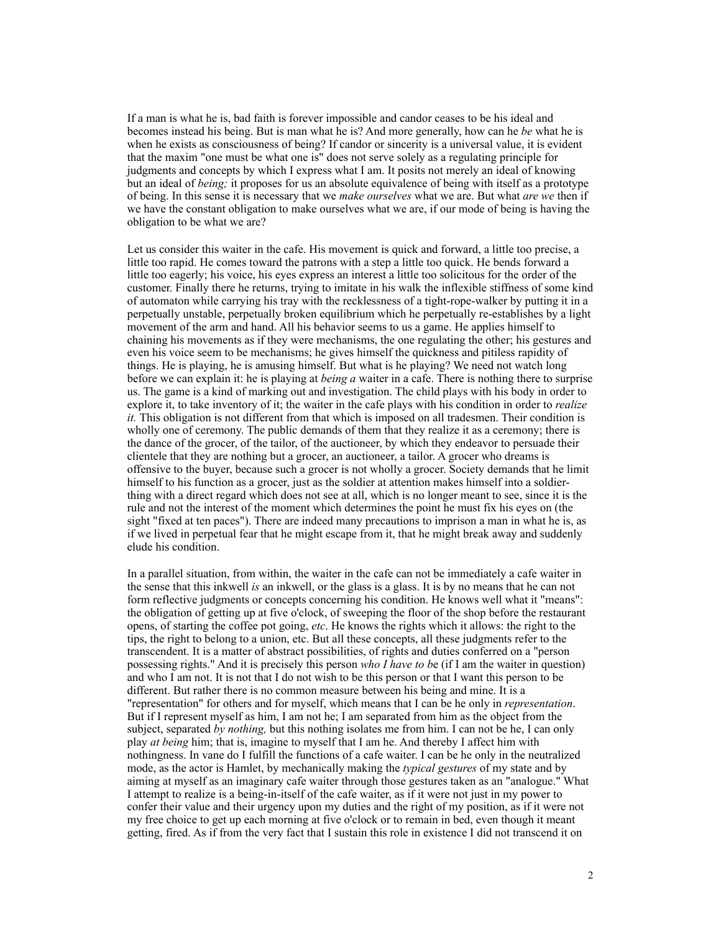If a man is what he is, bad faith is forever impossible and candor ceases to be his ideal and becomes instead his being. But is man what he is? And more generally, how can he *be* what he is when he exists as consciousness of being? If candor or sincerity is a universal value, it is evident that the maxim "one must be what one is" does not serve solely as a regulating principle for judgments and concepts by which I express what I am. It posits not merely an ideal of knowing but an ideal of *being;* it proposes for us an absolute equivalence of being with itself as a prototype of being. In this sense it is necessary that we *make ourselves* what we are. But what *are we* then if we have the constant obligation to make ourselves what we are, if our mode of being is having the obligation to be what we are?

Let us consider this waiter in the cafe. His movement is quick and forward, a little too precise, a little too rapid. He comes toward the patrons with a step a little too quick. He bends forward a little too eagerly; his voice, his eyes express an interest a little too solicitous for the order of the customer. Finally there he returns, trying to imitate in his walk the inflexible stiffness of some kind of automaton while carrying his tray with the recklessness of a tight-rope-walker by putting it in a perpetually unstable, perpetually broken equilibrium which he perpetually re-establishes by a light movement of the arm and hand. All his behavior seems to us a game. He applies himself to chaining his movements as if they were mechanisms, the one regulating the other; his gestures and even his voice seem to be mechanisms; he gives himself the quickness and pitiless rapidity of things. He is playing, he is amusing himself. But what is he playing? We need not watch long before we can explain it: he is playing at *being a* waiter in a cafe. There is nothing there to surprise us. The game is a kind of marking out and investigation. The child plays with his body in order to explore it, to take inventory of it; the waiter in the cafe plays with his condition in order to *realize it.* This obligation is not different from that which is imposed on all tradesmen. Their condition is wholly one of ceremony. The public demands of them that they realize it as a ceremony; there is the dance of the grocer, of the tailor, of the auctioneer, by which they endeavor to persuade their clientele that they are nothing but a grocer, an auctioneer, a tailor. A grocer who dreams is offensive to the buyer, because such a grocer is not wholly a grocer. Society demands that he limit himself to his function as a grocer, just as the soldier at attention makes himself into a soldierthing with a direct regard which does not see at all, which is no longer meant to see, since it is the rule and not the interest of the moment which determines the point he must fix his eyes on (the sight "fixed at ten paces"). There are indeed many precautions to imprison a man in what he is, as if we lived in perpetual fear that he might escape from it, that he might break away and suddenly elude his condition.

In a parallel situation, from within, the waiter in the cafe can not be immediately a cafe waiter in the sense that this inkwell *is* an inkwell, or the glass is a glass. It is by no means that he can not form reflective judgments or concepts concerning his condition. He knows well what it "means": the obligation of getting up at five o'clock, of sweeping the floor of the shop before the restaurant opens, of starting the coffee pot going, *etc*. He knows the rights which it allows: the right to the tips, the right to belong to a union, etc. But all these concepts, all these judgments refer to the transcendent. It is a matter of abstract possibilities, of rights and duties conferred on a "person possessing rights." And it is precisely this person *who I have to b*e (if I am the waiter in question) and who I am not. It is not that I do not wish to be this person or that I want this person to be different. But rather there is no common measure between his being and mine. It is a "representation" for others and for myself, which means that I can be he only in *representation*. But if I represent myself as him, I am not he; I am separated from him as the object from the subject, separated *by nothing,* but this nothing isolates me from him. I can not be he, I can only play *at being* him; that is, imagine to myself that I am he. And thereby I affect him with nothingness. In vane do I fulfill the functions of a cafe waiter. I can be he only in the neutralized mode, as the actor is Hamlet, by mechanically making the *typical gestures* of my state and by aiming at myself as an imaginary cafe waiter through those gestures taken as an "analogue." What I attempt to realize is a being-in-itself of the cafe waiter, as if it were not just in my power to confer their value and their urgency upon my duties and the right of my position, as if it were not my free choice to get up each morning at five o'clock or to remain in bed, even though it meant getting, fired. As if from the very fact that I sustain this role in existence I did not transcend it on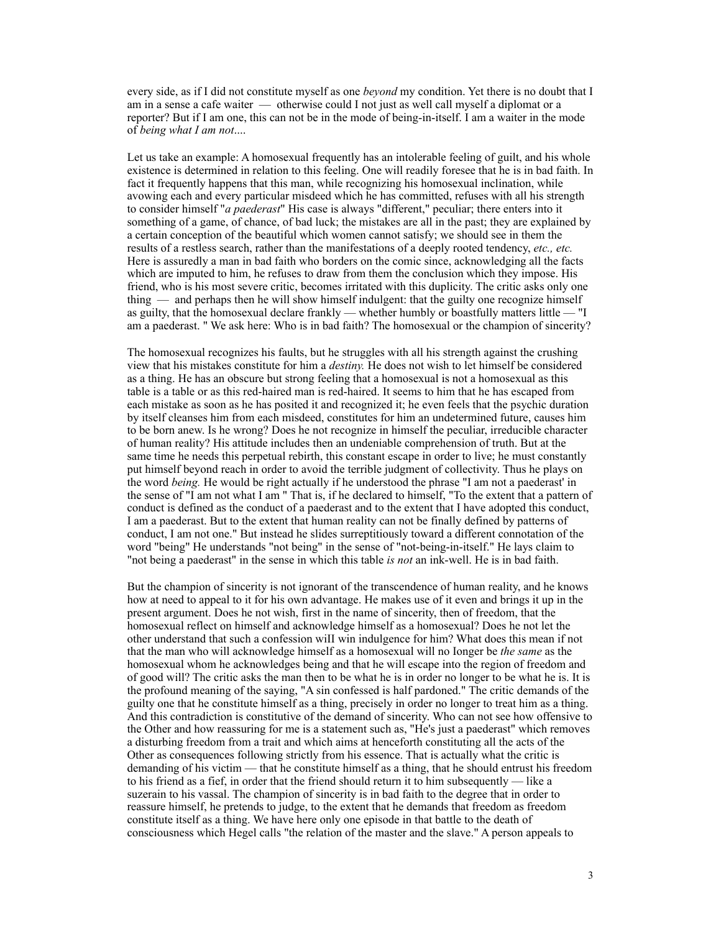every side, as if I did not constitute myself as one *beyond* my condition. Yet there is no doubt that I am in a sense a cafe waiter — otherwise could I not just as well call myself a diplomat or a reporter? But if I am one, this can not be in the mode of being-in-itself. I am a waiter in the mode of *being what I am not*....

Let us take an example: A homosexual frequently has an intolerable feeling of guilt, and his whole existence is determined in relation to this feeling. One will readily foresee that he is in bad faith. In fact it frequently happens that this man, while recognizing his homosexual inclination, while avowing each and every particular misdeed which he has committed, refuses with all his strength to consider himself "*a paederast*" His case is always "different," peculiar; there enters into it something of a game, of chance, of bad luck; the mistakes are all in the past; they are explained by a certain conception of the beautiful which women cannot satisfy; we should see in them the results of a restless search, rather than the manifestations of a deeply rooted tendency, *etc., etc.*  Here is assuredly a man in bad faith who borders on the comic since, acknowledging all the facts which are imputed to him, he refuses to draw from them the conclusion which they impose. His friend, who is his most severe critic, becomes irritated with this duplicity. The critic asks only one thing — and perhaps then he will show himself indulgent: that the guilty one recognize himself as guilty, that the homosexual declare frankly — whether humbly or boastfully matters little — "I am a paederast. " We ask here: Who is in bad faith? The homosexual or the champion of sincerity?

The homosexual recognizes his faults, but he struggles with all his strength against the crushing view that his mistakes constitute for him a *destiny.* He does not wish to let himself be considered as a thing. He has an obscure but strong feeling that a homosexual is not a homosexual as this table is a table or as this red-haired man is red-haired. It seems to him that he has escaped from each mistake as soon as he has posited it and recognized it; he even feels that the psychic duration by itself cleanses him from each misdeed, constitutes for him an undetermined future, causes him to be born anew. Is he wrong? Does he not recognize in himself the peculiar, irreducible character of human reality? His attitude includes then an undeniable comprehension of truth. But at the same time he needs this perpetual rebirth, this constant escape in order to live; he must constantly put himself beyond reach in order to avoid the terrible judgment of collectivity. Thus he plays on the word *being.* He would be right actually if he understood the phrase "I am not a paederast' in the sense of "I am not what I am " That is, if he declared to himself, "To the extent that a pattern of conduct is defined as the conduct of a paederast and to the extent that I have adopted this conduct, I am a paederast. But to the extent that human reality can not be finally defined by patterns of conduct, I am not one." But instead he slides surreptitiously toward a different connotation of the word "being" He understands "not being" in the sense of "not-being-in-itself." He lays claim to "not being a paederast" in the sense in which this table *is not* an ink-well. He is in bad faith.

But the champion of sincerity is not ignorant of the transcendence of human reality, and he knows how at need to appeal to it for his own advantage. He makes use of it even and brings it up in the present argument. Does he not wish, first in the name of sincerity, then of freedom, that the homosexual reflect on himself and acknowledge himself as a homosexual? Does he not let the other understand that such a confession wiII win indulgence for him? What does this mean if not that the man who will acknowledge himself as a homosexual will no Ionger be *the same* as the homosexual whom he acknowledges being and that he will escape into the region of freedom and of good will? The critic asks the man then to be what he is in order no longer to be what he is. It is the profound meaning of the saying, "A sin confessed is half pardoned." The critic demands of the guilty one that he constitute himself as a thing, precisely in order no longer to treat him as a thing. And this contradiction is constitutive of the demand of sincerity. Who can not see how offensive to the Other and how reassuring for me is a statement such as, "He's just a paederast" which removes a disturbing freedom from a trait and which aims at henceforth constituting all the acts of the Other as consequences following strictly from his essence. That is actually what the critic is demanding of his victim — that he constitute himself as a thing, that he should entrust his freedom to his friend as a fief, in order that the friend should return it to him subsequently — like a suzerain to his vassal. The champion of sincerity is in bad faith to the degree that in order to reassure himself, he pretends to judge, to the extent that he demands that freedom as freedom constitute itself as a thing. We have here only one episode in that battle to the death of consciousness which Hegel calls "the relation of the master and the slave." A person appeals to